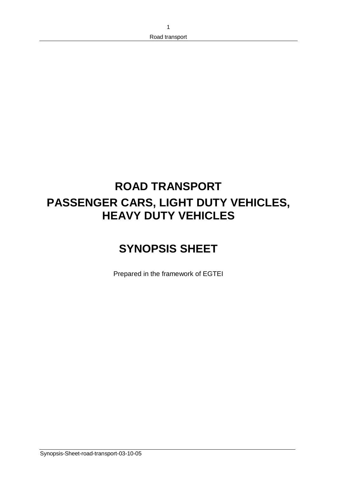# **ROAD TRANSPORT PASSENGER CARS, LIGHT DUTY VEHICLES, HEAVY DUTY VEHICLES**

# **SYNOPSIS SHEET**

Prepared in the framework of EGTEI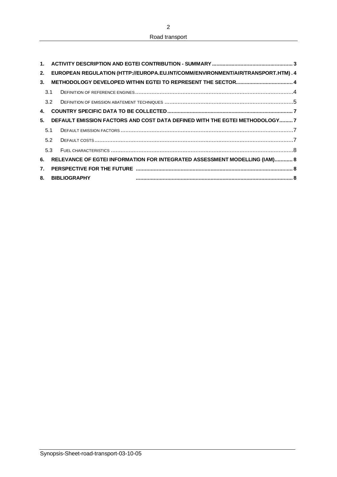Road transport

| 1 <sup>1</sup>   |               |                                                                                  |  |
|------------------|---------------|----------------------------------------------------------------------------------|--|
| 2.               |               | EUROPEAN REGULATION (HTTP://EUROPA.EU.INT/COMM/ENVIRONMENT/AIR/TRANSPORT.HTM). 4 |  |
| 3.               |               |                                                                                  |  |
|                  | 3.1           |                                                                                  |  |
|                  | $3.2^{\circ}$ |                                                                                  |  |
| 4.               |               |                                                                                  |  |
| 5.               |               | DEFAULT EMISSION FACTORS AND COST DATA DEFINED WITH THE EGTEI METHODOLOGY7       |  |
|                  | 5.1           |                                                                                  |  |
|                  | 5.2           |                                                                                  |  |
|                  | 5.3           |                                                                                  |  |
| 6.               |               | RELEVANCE OF EGTEI INFORMATION FOR INTEGRATED ASSESSMENT MODELLING (IAM) 8       |  |
| $\overline{7}$ . |               |                                                                                  |  |
| 8.               |               | <b>BIBLIOGRAPHY</b>                                                              |  |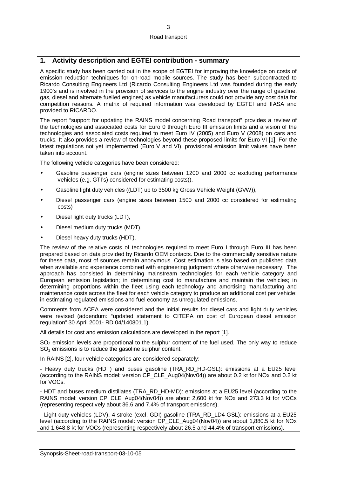## **1. Activity description and EGTEI contribution - summary**

A specific study has been carried out in the scope of EGTEI for improving the knowledge on costs of emission reduction techniques for on-road mobile sources. The study has been subcontracted to Ricardo Consulting Engineers Ltd (Ricardo Consulting Engineers Ltd was founded during the early 1900's and is involved in the provision of services to the engine industry over the range of gasoline, gas, diesel and alternate fuelled engines) as vehicle manufacturers could not provide any cost data for competition reasons. A matrix of required information was developed by EGTEI and IIASA and provided to RICARDO.

The report "support for updating the RAINS model concerning Road transport" provides a review of the technologies and associated costs for Euro 0 through Euro III emission limits and a vision of the technologies and associated costs required to meet Euro IV (2005) and Euro V (2008) on cars and trucks. It also provides a review of technologies beyond these proposed limits for Euro VI [1]. For the latest regulations not yet implemented (Euro V and VI), provisional emission limit values have been taken into account.

The following vehicle categories have been considered:

- Gasoline passenger cars (engine sizes between 1200 and 2000 cc excluding performance vehicles (e.g. GTI's) considered for estimating costs)),
- Gasoline light duty vehicles ((LDT) up to 3500 kg Gross Vehicle Weight (GVW)),
- Diesel passenger cars (engine sizes between 1500 and 2000 cc considered for estimating costs)
- Diesel light duty trucks (LDT),
- Diesel medium duty trucks (MDT),
- Diesel heavy duty trucks (HDT).

The review of the relative costs of technologies required to meet Euro I through Euro III has been prepared based on data provided by Ricardo OEM contacts. Due to the commercially sensitive nature for these data, most of sources remain anonymous. Cost estimation is also based on published data when available and experience combined with engineering judgment where otherwise necessary. The approach has consisted in determining mainstream technologies for each vehicle category and European emission legislation; in determining cost to manufacture and maintain the vehicles; in determining proportions within the fleet using each technology and amortising manufacturing and maintenance costs across the fleet for each vehicle category to produce an additional cost per vehicle; in estimating regulated emissions and fuel economy as unregulated emissions.

Comments from ACEA were considered and the initial results for diesel cars and light duty vehicles were revised (addendum: "updated statement to CITEPA on cost of European diesel emission regulation" 30 April 2001- RD 04/140801.1).

All details for cost and emission calculations are developed in the report [1].

SO<sub>2</sub> emission levels are proportional to the sulphur content of the fuel used. The only way to reduce SO<sub>2</sub> emissions is to reduce the gasoline sulphur content.

In RAINS [2], four vehicle categories are considered separately:

- Heavy duty trucks (HDT) and buses gasoline (TRA\_RD\_HD-GSL): emissions at a EU25 level (according to the RAINS model: version CP\_CLE\_Aug04(Nov04)) are about 0.2 kt for NOx and 0.2 kt for VOCs.

- HDT and buses medium distillates (TRA\_RD\_HD-MD): emissions at a EU25 level (according to the RAINS model: version CP\_CLE\_Aug04(Nov04)) are about 2,600 kt for NOx and 273.3 kt for VOCs (representing respectively about 36.6 and 7.4% of transport emissions).

- Light duty vehicles (LDV), 4-stroke (excl. GDI) gasoline (TRA\_RD\_LD4-GSL): emissions at a EU25 level (according to the RAINS model: version CP\_CLE\_Aug04(Nov04)) are about 1,880.5 kt for NOx and 1,648.8 kt for VOCs (representing respectively about 26.5 and 44.4% of transport emissions).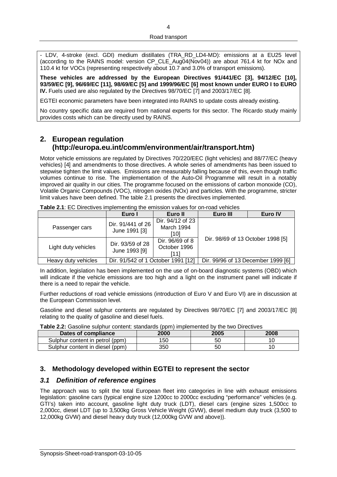- LDV, 4-stroke (excl. GDI) medium distillates (TRA\_RD\_LD4-MD): emissions at a EU25 level (according to the RAINS model: version CP\_CLE Aug04(Nov04)) are about 761.4 kt for NOx and 110.4 kt for VOCs (representing respectively about 10.7 and 3.0% of transport emissions).

**These vehicles are addressed by the European Directives 91/441/EC [3], 94/12/EC [10], 93/59/EC [9], 96/69/EC [11], 98/69/EC [5] and 1999/96/EC [6] most known under EURO I to EURO IV.** Fuels used are also regulated by the Directives 98/70/EC [7] and 2003/17/EC [8].

EGTEI economic parameters have been integrated into RAINS to update costs already existing.

No country specific data are required from national experts for this sector. The Ricardo study mainly provides costs which can be directly used by RAINS.

# **2. European regulation (http://europa.eu.int/comm/environment/air/transport.htm)**

Motor vehicle emissions are regulated by Directives 70/220/EEC (light vehicles) and 88/77/EC (heavy vehicles) [4] and amendments to those directives. A whole series of amendments has been issued to stepwise tighten the limit values. Emissions are measurably falling because of this, even though traffic volumes continue to rise. The implementation of the Auto-Oil Programme will result in a notably improved air quality in our cities. The programme focused on the emissions of carbon monoxide (CO), Volatile Organic Compounds (VOC), nitrogen oxides (NOx) and particles. With the programme, stricter limit values have been defined. The table 2.1 presents the directives implemented.

| <b>TWIP EIT:</b> LO DITOOLITOO IMPIONTOHING LID OMNOODIT TOLOO TOI TOGG TOMMOOD |                                                                              |                                         |                                    |         |  |  |  |
|---------------------------------------------------------------------------------|------------------------------------------------------------------------------|-----------------------------------------|------------------------------------|---------|--|--|--|
|                                                                                 | Euro I                                                                       | Euro II                                 | Euro III                           | Euro IV |  |  |  |
| Passenger cars                                                                  | Dir. 94/12 of 23<br>Dir. 91/441 of 26<br>March 1994<br>June 1991 [3]<br>[10] |                                         |                                    |         |  |  |  |
| Light duty vehicles                                                             | Dir. 93/59 of 28<br>June 1993 [9]                                            | Dir. 96/69 of 8<br>October 1996<br>[11] | Dir. 98/69 of 13 October 1998 [5]  |         |  |  |  |
| Heavy duty vehicles                                                             | Dir. 91/542 of 1 October 1991 [12]                                           |                                         | Dir. 99/96 of 13 December 1999 [6] |         |  |  |  |

**Table 2.1**: EC Directives implementing the emission values for on-road vehicles

In addition, legislation has been implemented on the use of on-board diagnostic systems (OBD) which will indicate if the vehicle emissions are too high and a light on the instrument panel will indicate if there is a need to repair the vehicle.

Further reductions of road vehicle emissions (introduction of Euro V and Euro VI) are in discussion at the European Commission level.

Gasoline and diesel sulphur contents are regulated by Directives 98/70/EC [7] and 2003/17/EC [8] relating to the quality of gasoline and diesel fuels.

**Table 2.2:** Gasoline sulphur content: standards (ppm) implemented by the two Directives

| Dates of compliance             | 2000 | 2005 | 2008 |
|---------------------------------|------|------|------|
| Sulphur content in petrol (ppm) | 150  | 50   |      |
| Sulphur content in diesel (ppm) | 350  | 50   |      |

### **3. Methodology developed within EGTEI to represent the sector**

### *3.1 Definition of reference engines*

The approach was to split the total European fleet into categories in line with exhaust emissions legislation: gasoline cars (typical engine size 1200cc to 2000cc excluding "performance" vehicles (e.g. GTI's) taken into account, gasoline light duty truck (LDT), diesel cars (engine sizes 1,500cc to 2,000cc, diesel LDT (up to 3,500kg Gross Vehicle Weight (GVW), diesel medium duty truck (3,500 to 12,000kg GVW) and diesel heavy duty truck (12,000kg GVW and above)).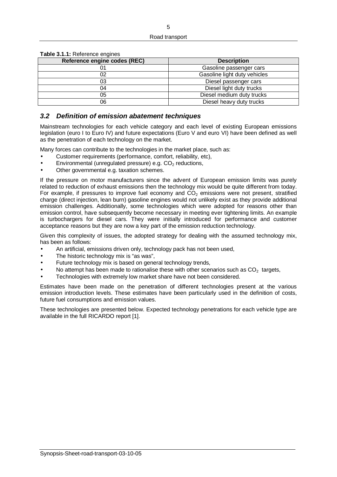| Reference engine codes (REC) | <b>Description</b>           |
|------------------------------|------------------------------|
|                              | Gasoline passenger cars      |
| 02                           | Gasoline light duty vehicles |
| 03                           | Diesel passenger cars        |
| 04                           | Diesel light duty trucks     |
| 05                           | Diesel medium duty trucks    |
| 06                           | Diesel heavy duty trucks     |

**Table 3.1.1:** Reference engines

### *3.2 Definition of emission abatement techniques*

Mainstream technologies for each vehicle category and each level of existing European emissions legislation (euro I to Euro IV) and future expectations (Euro V and euro VI) have been defined as well as the penetration of each technology on the market.

Many forces can contribute to the technologies in the market place, such as:

- Customer requirements (performance, comfort, reliability, etc),
- Environmental (unregulated pressure) e.g.  $CO<sub>2</sub>$  reductions,
- Other governmental e.g. taxation schemes.

If the pressure on motor manufacturers since the advent of European emission limits was purely related to reduction of exhaust emissions then the technology mix would be quite different from today. For example, if pressures to improve fuel economy and  $CO<sub>2</sub>$  emissions were not present, stratified charge (direct injection, lean burn) gasoline engines would not unlikely exist as they provide additional emission challenges. Additionally, some technologies which were adopted for reasons other than emission control, have subsequently become necessary in meeting ever tightening limits. An example is turbochargers for diesel cars. They were initially introduced for performance and customer acceptance reasons but they are now a key part of the emission reduction technology.

Given this complexity of issues, the adopted strategy for dealing with the assumed technology mix, has been as follows:

- An artificial, emissions driven only, technology pack has not been used,
- The historic technology mix is "as was".
- Future technology mix is based on general technology trends,
- No attempt has been made to rationalise these with other scenarios such as  $CO<sub>2</sub>$  targets,
- Technologies with extremely low market share have not been considered.

Estimates have been made on the penetration of different technologies present at the various emission introduction levels. These estimates have been particularly used in the definition of costs, future fuel consumptions and emission values.

These technologies are presented below. Expected technology penetrations for each vehicle type are available in the full RICARDO report [1].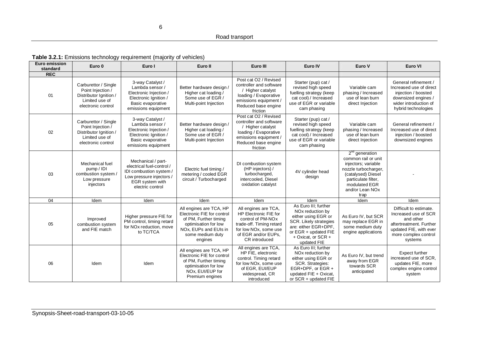#### **Table 3.2.1:** Emissions technology requirement (majority of vehicles)

| Euro emission<br>standard | Euro 0                                                                                                      | Euro I                                                                                                                                        | Euro II                                                                                                                                                        | Euro III                                                                                                                                                                           | Euro IV                                                                                                                                                                                    | Euro V                                                                                                                                                                          | Euro VI                                                                                                                                             |
|---------------------------|-------------------------------------------------------------------------------------------------------------|-----------------------------------------------------------------------------------------------------------------------------------------------|----------------------------------------------------------------------------------------------------------------------------------------------------------------|------------------------------------------------------------------------------------------------------------------------------------------------------------------------------------|--------------------------------------------------------------------------------------------------------------------------------------------------------------------------------------------|---------------------------------------------------------------------------------------------------------------------------------------------------------------------------------|-----------------------------------------------------------------------------------------------------------------------------------------------------|
| <b>REC</b>                |                                                                                                             |                                                                                                                                               |                                                                                                                                                                |                                                                                                                                                                                    |                                                                                                                                                                                            |                                                                                                                                                                                 |                                                                                                                                                     |
| 01                        | Carburettor / Single<br>Point Injection /<br>Distributor Ignition /<br>Limited use of<br>electronic control | 3-way Catalyst /<br>Lambda sensor /<br>Electronic Injection /<br>Electronic Ignition /<br>Basic evaporative<br>emissions equipment            | Better hardware design /<br>Higher cat loading /<br>Some use of EGR /<br>Multi-point Injection                                                                 | Post cat O2 / Revised<br>controller and software<br>/ Higher catalyst<br>loading / Evaporative<br>emissions equipment /<br>Reduced base engine<br>friction                         | Starter (pup) cat /<br>revised high speed<br>fuelling strategy (keep<br>cat cool) / Increased<br>use of EGR or variable<br>cam phasing                                                     | Variable cam<br>phasing / Increased<br>use of lean burn<br>direct Injection                                                                                                     | General refinement /<br>Increased use of direct<br>injection / boosted<br>downsized engines /<br>wider introduction of<br>hybrid technologies       |
| 02                        | Carburettor / Single<br>Point Injection /<br>Distributor Ignition /<br>Limited use of<br>electronic control | 3-way Catalyst /<br>Lambda sensor /<br>Electronic Injection /<br>Electronic Ignition /<br>Basic evaporative<br>emissions equipment            | Better hardware design /<br>Higher cat loading /<br>Some use of EGR /<br>Multi-point Injection                                                                 | Post cat O <sub>2</sub> / Revised<br>controller and software<br>Higher catalyst<br>loading / Evaporative<br>emissions equipment /<br>Reduced base engine<br>friction               | Starter (pup) cat /<br>revised high speed<br>fuelling strategy (keep<br>cat cool) / Increased<br>use of EGR or variable<br>cam phasing                                                     | Variable cam<br>phasing / Increased<br>use of lean burn<br>direct Injection                                                                                                     | General refinement /<br>Increased use of direct<br>injection / boosted<br>downsized engines                                                         |
| 03                        | Mechanical fuel<br>pump / IDI<br>combustion system /<br>Low pressure<br>injectors                           | Mechanical / part-<br>electrical fuel-control /<br>IDI combustion system /<br>Low pressure injectors /<br>EGR system with<br>electric control | Electric fuel timing /<br>metering / cooled EGR<br>circuit / Turbocharged                                                                                      | DI combustion system<br>(HP injectors) /<br>turbocharged,<br>intercooled, Diesel<br>oxidation catalyst                                                                             | 4V cylinder head<br>design                                                                                                                                                                 | $2nd$ generation<br>common rail or unit<br>injectors; variable<br>nozzle turbocharger,<br>(catalysed) Diesel<br>particulate filter,<br>modulated EGR<br>and/or Lean NOx<br>trap |                                                                                                                                                     |
| 04                        | Idem                                                                                                        | Idem                                                                                                                                          | Idem                                                                                                                                                           | Idem                                                                                                                                                                               | Idem                                                                                                                                                                                       | Idem                                                                                                                                                                            | Idem                                                                                                                                                |
| 05                        | Improved<br>combustion system<br>and FIE match                                                              | Higher pressure FIE for<br>PM control, timing retard<br>for NOx reduction, move<br>to TC/TCA                                                  | All engines are TCA, HP<br>Electronic FIE for control<br>of PM, Further timing<br>optimisation for low<br>NOx, EUPs and EUIs in<br>some medium duty<br>engines | All engines are TCA,<br>HP Electronic FIE for<br>control of PM-NO <sub>x</sub><br>trade-off. Timing retard<br>for low NOx, some use<br>of EGR and/or EUPs,<br><b>CR</b> introduced | As Euro III: further<br>NO <sub>x</sub> reduction by<br>either using EGR or<br>SCR. Likely strategies<br>are: either EGR+DPF.<br>or EGR + updated FIE<br>+ Oxicat, or SCR +<br>updated FIE | As Euro IV, but SCR<br>may replace EGR in<br>some medium duty<br>engine applications                                                                                            | Difficult to estimate.<br>Increased use of SCR<br>and other<br>aftertreatment. Further<br>updated FIE, with ever<br>more complex control<br>systems |
| 06                        | Idem                                                                                                        | Idem                                                                                                                                          | All engines are TCA, HP<br>Electronic FIE for control<br>of PM, Further timing<br>optimisation for low<br>NOx, EUI/EUP for<br>Premium engines                  | All engines are TCA,<br>HP FIE, electronic<br>control. Timing retard<br>for low NOx, some use<br>of EGR, EUI/EUP<br>widespread, CR<br>introduced                                   | As Euro III: further<br>NO <sub>x</sub> reduction by<br>either using EGR or<br>SCR. Strategies:<br>EGR+DPF, or EGR +<br>updated FIE + Oxicat,<br>or SCR + updated FIE                      | As Euro IV, but trend<br>away from EGR<br>towards SCR<br>anticipated                                                                                                            | <b>Expect further</b><br>increased use of SCR,<br>updates FIE, more<br>complex engine control<br>system                                             |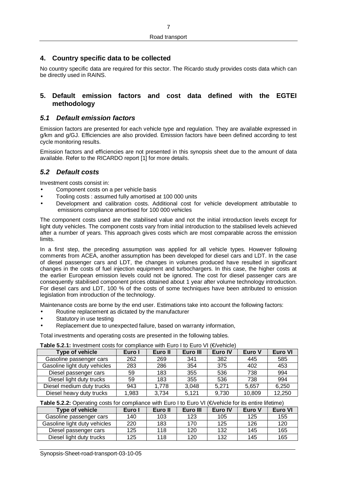## **4. Country specific data to be collected**

No country specific data are required for this sector. The Ricardo study provides costs data which can be directly used in RAINS.

#### **5. Default emission factors and cost data defined with the EGTEI methodology**

#### *5.1 Default emission factors*

Emission factors are presented for each vehicle type and regulation. They are available expressed in g/km and g/GJ. Efficiencies are also provided. Emission factors have been defined according to test cycle monitoring results.

Emission factors and efficiencies are not presented in this synopsis sheet due to the amount of data available. Refer to the RICARDO report [1] for more details.

### *5.2 Default costs*

Investment costs consist in:

- Component costs on a per vehicle basis
- Tooling costs : assumed fully amortised at 100 000 units
- Development and calibration costs. Additional cost for vehicle development attributable to emissions compliance amortised for 100 000 vehicles

The component costs used are the stabilised value and not the initial introduction levels except for light duty vehicles. The component costs vary from initial introduction to the stabilised levels achieved after a number of years. This approach gives costs which are most comparable across the emission limits.

In a first step, the preceding assumption was applied for all vehicle types. However following comments from ACEA, another assumption has been developed for diesel cars and LDT. In the case of diesel passenger cars and LDT, the changes in volumes produced have resulted in significant changes in the costs of fuel injection equipment and turbochargers. In this case, the higher costs at the earlier European emission levels could not be ignored. The cost for diesel passenger cars are consequently stabilised component prices obtained about 1 year after volume technology introduction. For diesel cars and LDT, 100 % of the costs of some techniques have been attributed to emission legislation from introduction of the technology.

Maintenance costs are borne by the end user. Estimations take into account the following factors:

- Routine replacement as dictated by the manufacturer
- Statutory in use testing
- Replacement due to unexpected failure, based on warranty information,

Total investments and operating costs are presented in the following tables.

**Table 5.2.1:** Investment costs for compliance with Euro I to Euro VI (€/vehicle)

| Type of vehicle              | Euro I | Euro II | Euro III | Euro IV | Euro V | Euro VI |
|------------------------------|--------|---------|----------|---------|--------|---------|
| Gasoline passenger cars      | 262    | 269     | 341      | 382     | 445    | 585     |
| Gasoline light duty vehicles | 283    | 286     | 354      | 375     | 402    | 453     |
| Diesel passenger cars        | 59     | 183     | 355      | 536     | 738    | 994     |
| Diesel light duty trucks     | 59     | 183     | 355      | 536     | 738    | 994     |
| Diesel medium duty trucks    | 943    | 1,778   | 3,048    | 5.271   | 5.657  | 6,250   |
| Diesel heavy duty trucks     | 1,983  | 3,734   | 5.121    | 9,730   | 10,809 | 12,250  |

#### **Table 5.2.2:** Operating costs for compliance with Euro I to Euro VI (€/vehicle for its entire lifetime)

| Type of vehicle              | Euro I | Euro II | Euro III | Euro IV | Euro V | Euro VI |
|------------------------------|--------|---------|----------|---------|--------|---------|
| Gasoline passenger cars      | 140    | 103     | 123      | 105     | 125    | 155     |
| Gasoline light duty vehicles | 220    | 183     | 170      | 125     | 126    | 120     |
| Diesel passenger cars        | 125    | 118     | 120      | 132     | 145    | 165     |
| Diesel light duty trucks     | 125    | 118     | 120      | 132     | 145    | 165     |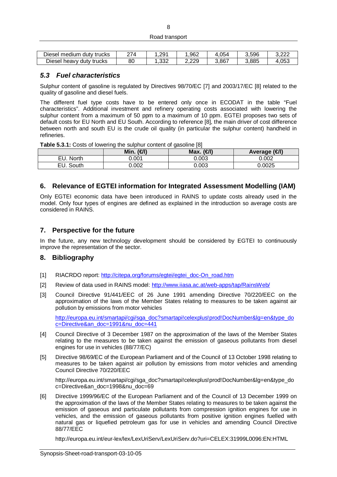#### Road transport

| trucks<br>medium<br>dutv<br>Diesel  | 27 <sub>A</sub> | $.29^{\circ}$ | .962         | .054<br>4 | 3.596 | n nnc<br>J.LLL |
|-------------------------------------|-----------------|---------------|--------------|-----------|-------|----------------|
| -<br>Diesel<br>duty trucks<br>heavy | 80              | റററ<br>ےت     | つつQ<br>د.دده | 3,867     | 3.885 | 4,053          |

#### *5.3 Fuel characteristics*

Sulphur content of gasoline is regulated by Directives 98/70/EC [7] and 2003/17/EC [8] related to the quality of gasoline and diesel fuels.

The different fuel type costs have to be entered only once in ECODAT in the table "Fuel characteristics". Additional investment and refinery operating costs associated with lowering the sulphur content from a maximum of 50 ppm to a maximum of 10 ppm. EGTEI proposes two sets of default costs for EU North and EU South. According to reference [8], the main driver of cost difference between north and south EU is the crude oil quality (in particular the sulphur content) handheld in refineries.

**Table 5.3.1:** Costs of lowering the sulphur content of gasoline [8]

|              | Min.<br>$(\infty)$ | Max. $(\bigoplus)$ | Average (€I) |
|--------------|--------------------|--------------------|--------------|
| EU. North    | 0.001              | 0.003              | 0.002        |
| South<br>EU. | 0.002              | 0.003              | 0.0025       |

### **6. Relevance of EGTEI information for Integrated Assessment Modelling (IAM)**

Only EGTEI economic data have been introduced in RAINS to update costs already used in the model. Only four types of engines are defined as explained in the introduction so average costs are considered in RAINS.

#### **7. Perspective for the future**

In the future, any new technology development should be considered by EGTEI to continuously improve the representation of the sector.

#### **8. Bibliography**

- [1] RIACRDO report: [http://citepa.org/forums/egtei/egtei\\_doc-On\\_road.htm](http://citepa.org/forums/egtei/egtei_doc-On_road.htm)
- [2] Review of data used in RAINS model: <http://www.iiasa.ac.at/web-apps/tap/RainsWeb/>
- [3] Council Directive 91/441/EEC of 26 June 1991 amending Directive 70/220/EEC on the approximation of the laws of the Member States relating to measures to be taken against air pollution by emissions from motor vehicles

[http://europa.eu.int/smartapi/cgi/sga\\_doc?smartapi!celexplus!prod!DocNumber&lg=en&type\\_do](http://europa.eu.int/smartapi/cgi/sga_doc?smartapi!celexplus!prod!DocNumber&lg=en&type_do) c=Directive&an\_doc=1991&nu\_doc=441

- [4] Council Directive of 3 December 1987 on the approximation of the laws of the Member States relating to the measures to be taken against the emission of gaseous pollutants from diesel engines for use in vehicles (88/77/EC)
- [5] Directive 98/69/EC of the European Parliament and of the Council of 13 October 1998 relating to measures to be taken against air pollution by emissions from motor vehicles and amending Council Directive 70/220/EEC

[http://europa.eu.int/smartapi/cgi/sga\\_doc?smartapi!celexplus!prod!DocNumber&lg=en&type\\_do](http://europa.eu.int/smartapi/cgi/sga_doc?smartapi!celexplus!prod!DocNumber&lg=en&type_do) c=Directive&an\_doc=1998&nu\_doc=69

[6] Directive 1999/96/EC of the European Parliament and of the Council of 13 December 1999 on the approximation of the laws of the Member States relating to measures to be taken against the emission of gaseous and particulate pollutants from compression ignition engines for use in vehicles, and the emission of gaseous pollutants from positive ignition engines fuelled with natural gas or liquefied petroleum gas for use in vehicles and amending Council Directive 88/77/EEC

<http://europa.eu.int/eur-lex/lex/LexUriServ/LexUriServ.do?uri=CELEX:31999L0096:EN:HTML>